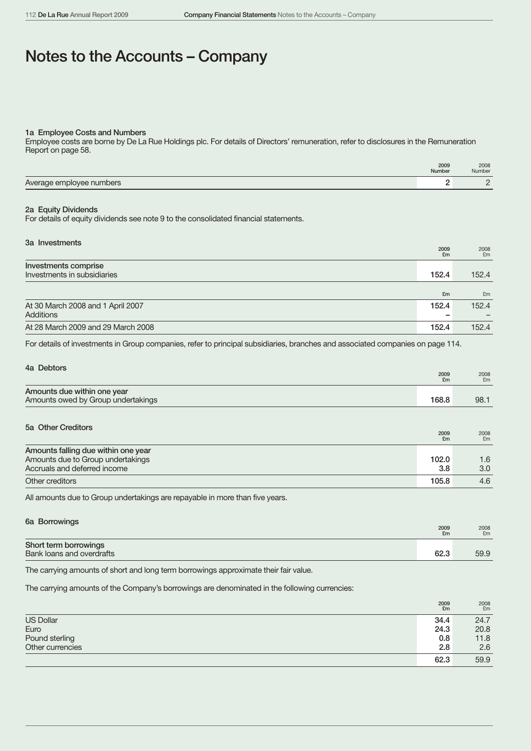# Notes to the Accounts – Company

### 1a Employee Costs and Numbers

Employee costs are borne by De La Rue Holdings plc. For details of Directors' remuneration, refer to disclosures in the Remuneration Report on page 58.

|                          | 2009<br>Number | 2008<br><b>Number</b> |
|--------------------------|----------------|-----------------------|
| Average employee numbers |                |                       |

### 2a Equity Dividends

For details of equity dividends see note 9 to the consolidated financial statements.

| 3a Investments                     | 2009<br>£m | 2008<br>£m |
|------------------------------------|------------|------------|
| Investments comprise               |            |            |
| Investments in subsidiaries        | 152.4      | 152.4      |
|                                    | £m         | £m         |
| At 30 March 2008 and 1 April 2007  | 152.4      | 152.4      |
| Additions                          |            |            |
| At 28 March 2009 and 29 March 2008 | 152.4      | 152.4      |

For details of investments in Group companies, refer to principal subsidiaries, branches and associated companies on page 114.

| 4a Debtors                                                        | 2009<br>£m | 2008<br>£m |
|-------------------------------------------------------------------|------------|------------|
| Amounts due within one year<br>Amounts owed by Group undertakings | 168.8      | 98.1       |

| 5a Other Creditors                                                                                       | 2009<br>£m   | 2008<br>£m              |
|----------------------------------------------------------------------------------------------------------|--------------|-------------------------|
| Amounts falling due within one year<br>Amounts due to Group undertakings<br>Accruals and deferred income | 102.0<br>3.8 | 1.6<br>3.0 <sub>2</sub> |
| Other creditors                                                                                          | 105.8        | 4.6                     |

All amounts due to Group undertakings are repayable in more than five years.

| Short term borrowings<br>Bank loans and overdrafts<br>62.3 | 6a Borrowings | 2009<br>£m | 2008<br>£m |
|------------------------------------------------------------|---------------|------------|------------|
|                                                            |               |            | 59.9       |

The carrying amounts of short and long term borrowings approximate their fair value.

The carrying amounts of the Company's borrowings are denominated in the following currencies:

|                  | 2009<br>£m | 2008<br>£m |
|------------------|------------|------------|
| <b>US Dollar</b> | 34.4       | 24.7       |
| Euro             | 24.3       | 20.8       |
| Pound sterling   | 0.8        | 11.8       |
| Other currencies | 2.8        | 2.6        |
|                  | 62.3       | 59.9       |